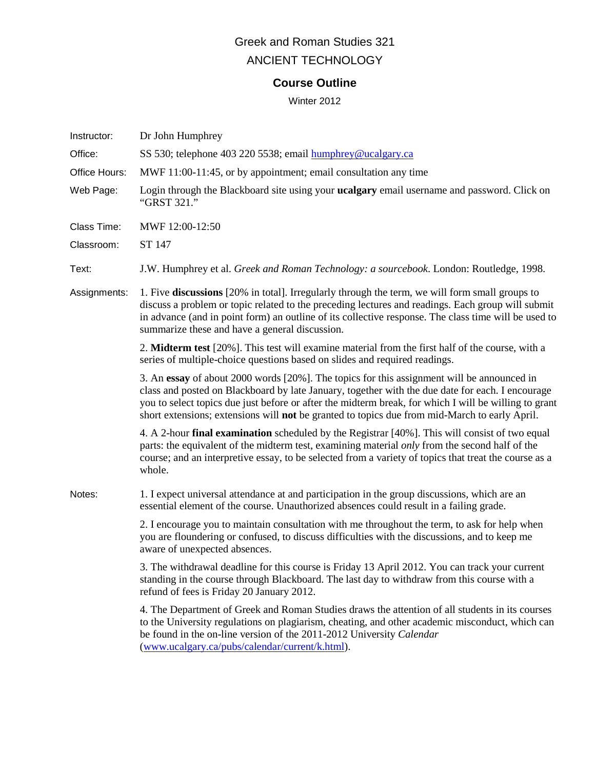# Greek and Roman Studies 321 ANCIENT TECHNOLOGY

# **Course Outline**

Winter 2012

| Instructor:   | Dr John Humphrey                                                                                                                                                                                                                                                                                                                                                                                                |  |  |  |
|---------------|-----------------------------------------------------------------------------------------------------------------------------------------------------------------------------------------------------------------------------------------------------------------------------------------------------------------------------------------------------------------------------------------------------------------|--|--|--|
| Office:       | SS 530; telephone 403 220 5538; email humphrey@ucalgary.ca                                                                                                                                                                                                                                                                                                                                                      |  |  |  |
| Office Hours: | MWF 11:00-11:45, or by appointment; email consultation any time                                                                                                                                                                                                                                                                                                                                                 |  |  |  |
| Web Page:     | Login through the Blackboard site using your <b>ucalgary</b> email username and password. Click on<br>"GRST 321."                                                                                                                                                                                                                                                                                               |  |  |  |
| Class Time:   | MWF 12:00-12:50                                                                                                                                                                                                                                                                                                                                                                                                 |  |  |  |
| Classroom:    | ST 147                                                                                                                                                                                                                                                                                                                                                                                                          |  |  |  |
| Text:         | J.W. Humphrey et al. Greek and Roman Technology: a sourcebook. London: Routledge, 1998.                                                                                                                                                                                                                                                                                                                         |  |  |  |
| Assignments:  | 1. Five discussions [20% in total]. Irregularly through the term, we will form small groups to<br>discuss a problem or topic related to the preceding lectures and readings. Each group will submit<br>in advance (and in point form) an outline of its collective response. The class time will be used to<br>summarize these and have a general discussion.                                                   |  |  |  |
|               | 2. Midterm test [20%]. This test will examine material from the first half of the course, with a<br>series of multiple-choice questions based on slides and required readings.                                                                                                                                                                                                                                  |  |  |  |
|               | 3. An essay of about 2000 words [20%]. The topics for this assignment will be announced in<br>class and posted on Blackboard by late January, together with the due date for each. I encourage<br>you to select topics due just before or after the midterm break, for which I will be willing to grant<br>short extensions; extensions will <b>not</b> be granted to topics due from mid-March to early April. |  |  |  |
|               | 4. A 2-hour final examination scheduled by the Registrar [40%]. This will consist of two equal<br>parts: the equivalent of the midterm test, examining material only from the second half of the<br>course; and an interpretive essay, to be selected from a variety of topics that treat the course as a<br>whole.                                                                                             |  |  |  |
| Notes:        | 1. I expect universal attendance at and participation in the group discussions, which are an<br>essential element of the course. Unauthorized absences could result in a failing grade.                                                                                                                                                                                                                         |  |  |  |
|               | 2. I encourage you to maintain consultation with me throughout the term, to ask for help when<br>you are floundering or confused, to discuss difficulties with the discussions, and to keep me<br>aware of unexpected absences.                                                                                                                                                                                 |  |  |  |
|               | 3. The withdrawal deadline for this course is Friday 13 April 2012. You can track your current<br>standing in the course through Blackboard. The last day to withdraw from this course with a<br>refund of fees is Friday 20 January 2012.                                                                                                                                                                      |  |  |  |
|               | 4. The Department of Greek and Roman Studies draws the attention of all students in its courses<br>to the University regulations on plagiarism, cheating, and other academic misconduct, which can<br>be found in the on-line version of the 2011-2012 University Calendar<br>(www.ucalgary.ca/pubs/calendar/current/k.html).                                                                                   |  |  |  |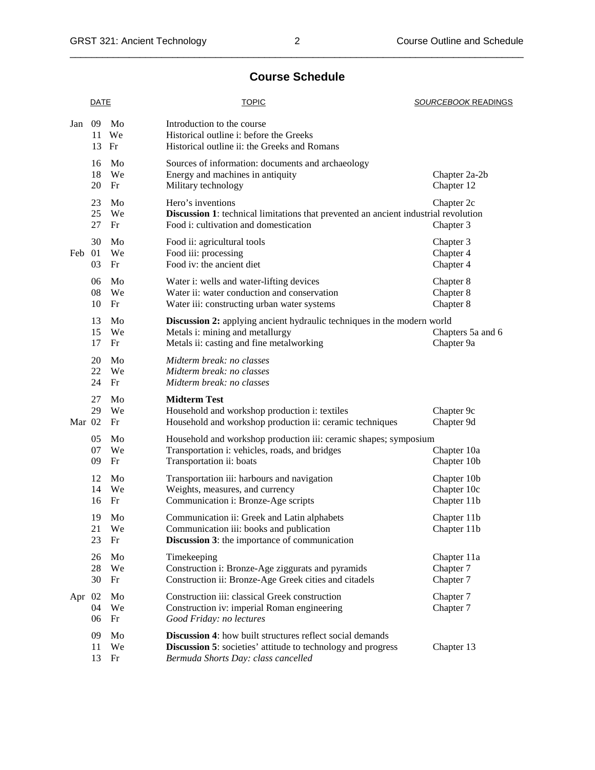# **Course Schedule**

|        | <b>DATE</b>    |                | <b>TOPIC</b>                                                                                                                                                                   | SOURCEBOOK READINGS                       |  |
|--------|----------------|----------------|--------------------------------------------------------------------------------------------------------------------------------------------------------------------------------|-------------------------------------------|--|
| Jan    | 09<br>11<br>13 | Mo<br>We<br>Fr | Introduction to the course<br>Historical outline i: before the Greeks<br>Historical outline ii: the Greeks and Romans                                                          |                                           |  |
|        | 16<br>18<br>20 | Mo<br>We<br>Fr | Sources of information: documents and archaeology<br>Energy and machines in antiquity<br>Military technology                                                                   | Chapter 2a-2b<br>Chapter 12               |  |
|        | 23<br>25<br>27 | Mo<br>We<br>Fr | Hero's inventions<br>Discussion 1: technical limitations that prevented an ancient industrial revolution<br>Food i: cultivation and domestication                              | Chapter 2c<br>Chapter 3                   |  |
| Feb 01 | 30<br>03       | Mo<br>We<br>Fr | Food ii: agricultural tools<br>Food iii: processing<br>Food iv: the ancient diet                                                                                               | Chapter 3<br>Chapter 4<br>Chapter 4       |  |
|        | 06<br>08<br>10 | Mo<br>We<br>Fr | Water i: wells and water-lifting devices<br>Water ii: water conduction and conservation<br>Water iii: constructing urban water systems                                         | Chapter 8<br>Chapter 8<br>Chapter 8       |  |
|        | 13<br>15<br>17 | Mo<br>We<br>Fr | <b>Discussion 2:</b> applying ancient hydraulic techniques in the modern world<br>Metals i: mining and metallurgy<br>Metals ii: casting and fine metalworking                  | Chapters 5a and 6<br>Chapter 9a           |  |
|        | 20<br>22<br>24 | Mo<br>We<br>Fr | Midterm break: no classes<br>Midterm break: no classes<br>Midterm break: no classes                                                                                            |                                           |  |
| Mar 02 | 27<br>29       | Mo<br>We<br>Fr | <b>Midterm Test</b><br>Household and workshop production i: textiles<br>Household and workshop production ii: ceramic techniques                                               | Chapter 9c<br>Chapter 9d                  |  |
|        | 05<br>07<br>09 | Mo<br>We<br>Fr | Household and workshop production iii: ceramic shapes; symposium<br>Transportation i: vehicles, roads, and bridges<br>Chapter 10a<br>Transportation ii: boats<br>Chapter 10b   |                                           |  |
|        | 12<br>14<br>16 | Mo<br>We<br>Fr | Transportation iii: harbours and navigation<br>Weights, measures, and currency<br>Communication i: Bronze-Age scripts                                                          | Chapter 10b<br>Chapter 10c<br>Chapter 11b |  |
|        | 19<br>21<br>23 | Mo<br>We<br>Fr | Communication ii: Greek and Latin alphabets<br>Communication iii: books and publication<br><b>Discussion 3:</b> the importance of communication                                | Chapter 11b<br>Chapter 11b                |  |
|        | 26<br>28<br>30 | Mo<br>We<br>Fr | Timekeeping<br>Construction i: Bronze-Age ziggurats and pyramids<br>Construction ii: Bronze-Age Greek cities and citadels                                                      | Chapter 11a<br>Chapter 7<br>Chapter 7     |  |
| Apr 02 | 04<br>06       | Mo<br>We<br>Fr | Construction iii: classical Greek construction<br>Construction iv: imperial Roman engineering<br>Good Friday: no lectures                                                      | Chapter 7<br>Chapter 7                    |  |
|        | 09<br>11<br>13 | Mo<br>We<br>Fr | <b>Discussion 4:</b> how built structures reflect social demands<br><b>Discussion 5:</b> societies' attitude to technology and progress<br>Bermuda Shorts Day: class cancelled | Chapter 13                                |  |

\_\_\_\_\_\_\_\_\_\_\_\_\_\_\_\_\_\_\_\_\_\_\_\_\_\_\_\_\_\_\_\_\_\_\_\_\_\_\_\_\_\_\_\_\_\_\_\_\_\_\_\_\_\_\_\_\_\_\_\_\_\_\_\_\_\_\_\_\_\_\_\_\_\_\_\_\_\_\_\_\_\_\_\_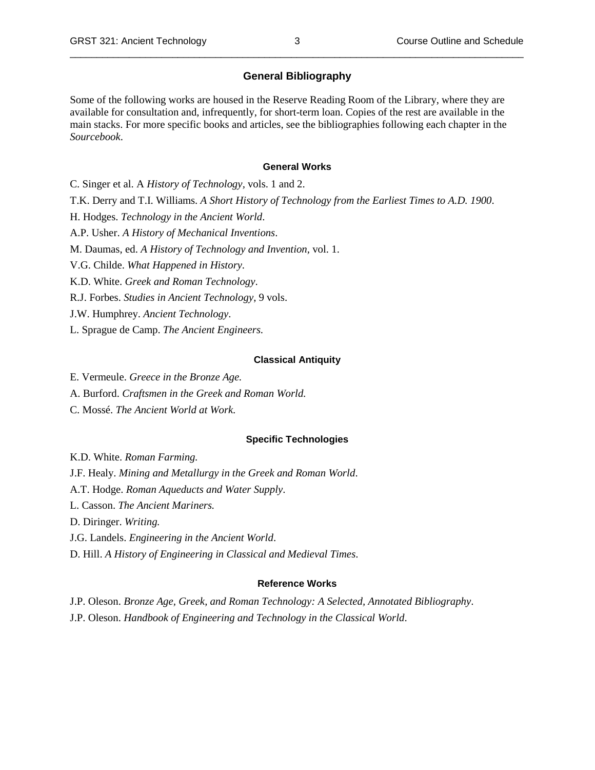### **General Bibliography**

Some of the following works are housed in the Reserve Reading Room of the Library, where they are available for consultation and, infrequently, for short-term loan. Copies of the rest are available in the main stacks. For more specific books and articles, see the bibliographies following each chapter in the *Sourcebook*.

#### **General Works**

C. Singer et al. A *History of Technology,* vols. 1 and 2. T.K. Derry and T.I. Williams. *A Short History of Technology from the Earliest Times to A.D. 1900*. H. Hodges. *Technology in the Ancient World*. A.P. Usher. *A History of Mechanical Inventions*. M. Daumas, ed. *A History of Technology and Invention,* vol. 1. V.G. Childe. *What Happened in History.* K.D. White. *Greek and Roman Technology*. R.J. Forbes. *Studies in Ancient Technology*, 9 vols. J.W. Humphrey. *Ancient Technology*.

L. Sprague de Camp. *The Ancient Engineers.*

#### **Classical Antiquity**

- E. Vermeule. *Greece in the Bronze Age.*
- A. Burford. *Craftsmen in the Greek and Roman World.*
- C. Mossé. *The Ancient World at Work.*

#### **Specific Technologies**

K.D. White. *Roman Farming.* J.F. Healy. *Mining and Metallurgy in the Greek and Roman World*. A.T. Hodge. *Roman Aqueducts and Water Supply*. L. Casson. *The Ancient Mariners.* D. Diringer. *Writing.* J.G. Landels. *Engineering in the Ancient World*.

D. Hill. *A History of Engineering in Classical and Medieval Times*.

### **Reference Works**

J.P. Oleson. *Bronze Age, Greek, and Roman Technology: A Selected, Annotated Bibliography*. J.P. Oleson. *Handbook of Engineering and Technology in the Classical World*.